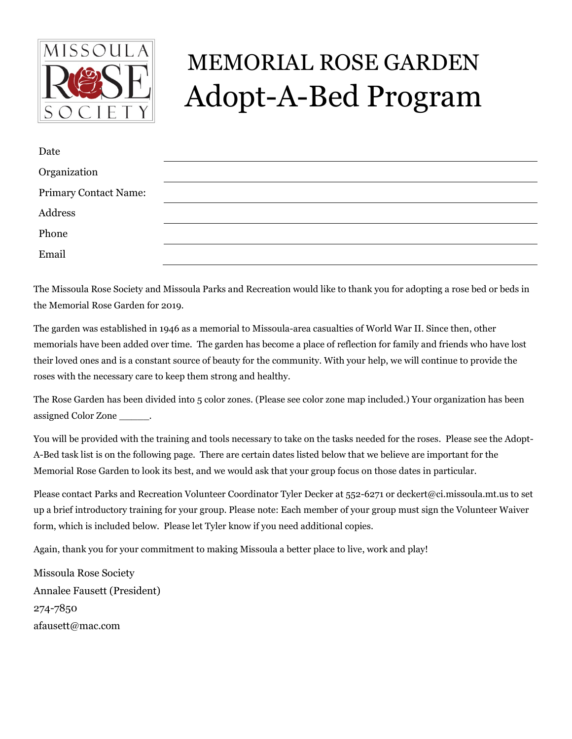

## MEMORIAL ROSE GARDEN Adopt-A-Bed Program

| Date                         |  |
|------------------------------|--|
| Organization                 |  |
| <b>Primary Contact Name:</b> |  |
| Address                      |  |
| Phone                        |  |
| Email                        |  |

The Missoula Rose Society and Missoula Parks and Recreation would like to thank you for adopting a rose bed or beds in the Memorial Rose Garden for 2019.

The garden was established in 1946 as a memorial to Missoula-area casualties of World War II. Since then, other memorials have been added over time. The garden has become a place of reflection for family and friends who have lost their loved ones and is a constant source of beauty for the community. With your help, we will continue to provide the roses with the necessary care to keep them strong and healthy.

The Rose Garden has been divided into 5 color zones. (Please see color zone map included.) Your organization has been assigned Color Zone \_\_\_\_\_.

You will be provided with the training and tools necessary to take on the tasks needed for the roses. Please see the Adopt-A-Bed task list is on the following page. There are certain dates listed below that we believe are important for the Memorial Rose Garden to look its best, and we would ask that your group focus on those dates in particular.

Please contact Parks and Recreation Volunteer Coordinator Tyler Decker at 552-6271 or deckert@ci.missoula.mt.us to set up a brief introductory training for your group. Please note: Each member of your group must sign the Volunteer Waiver form, which is included below. Please let Tyler know if you need additional copies.

Again, thank you for your commitment to making Missoula a better place to live, work and play!

Missoula Rose Society Annalee Fausett (President) 274-7850 afausett@mac.com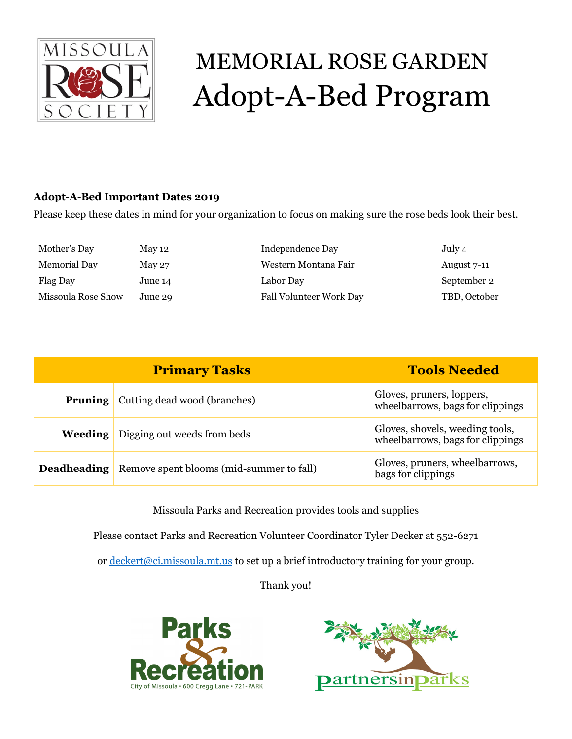

# MEMORIAL ROSE GARDEN Adopt-A-Bed Program

### **Adopt-A-Bed Important Dates 2019**

Please keep these dates in mind for your organization to focus on making sure the rose beds look their best.

| Mother's Day        | May 12  | Independence Day        | July 4       |
|---------------------|---------|-------------------------|--------------|
| <b>Memorial Day</b> | May 27  | Western Montana Fair    | August 7-11  |
| Flag Day            | June 14 | Labor Day               | September 2  |
| Missoula Rose Show  | June 29 | Fall Volunteer Work Day | TBD, October |

| <b>Primary Tasks</b> |                                          | <b>Tools Needed</b>                                                 |
|----------------------|------------------------------------------|---------------------------------------------------------------------|
| <b>Pruning</b>       | Cutting dead wood (branches)             | Gloves, pruners, loppers,<br>wheelbarrows, bags for clippings       |
| <b>Weeding</b>       | Digging out weeds from beds              | Gloves, shovels, weeding tools,<br>wheelbarrows, bags for clippings |
| Deadheading          | Remove spent blooms (mid-summer to fall) | Gloves, pruners, wheelbarrows,<br>bags for clippings                |

Missoula Parks and Recreation provides tools and supplies

Please contact Parks and Recreation Volunteer Coordinator Tyler Decker at 552-6271

or [deckert@ci.missoula.mt.us](mailto:deckert@ci.missoula.mt.us) to set up a brief introductory training for your group.

Thank you!



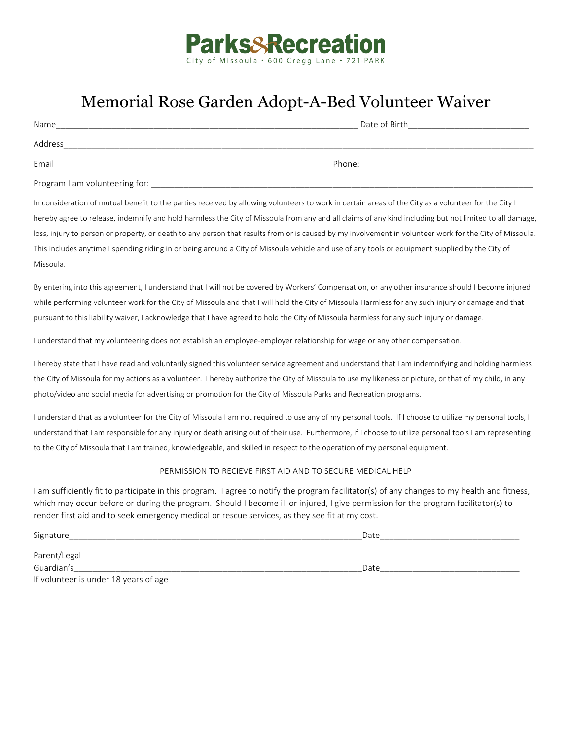

### Memorial Rose Garden Adopt-A-Bed Volunteer Waiver

| Name                           | Date of Birth |  |
|--------------------------------|---------------|--|
| Address                        |               |  |
| Email                          | Phone:        |  |
| Program I am volunteering for: |               |  |

In consideration of mutual benefit to the parties received by allowing volunteers to work in certain areas of the City as a volunteer for the City I hereby agree to release, indemnify and hold harmless the City of Missoula from any and all claims of any kind including but not limited to all damage, loss, injury to person or property, or death to any person that results from or is caused by my involvement in volunteer work for the City of Missoula. This includes anytime I spending riding in or being around a City of Missoula vehicle and use of any tools or equipment supplied by the City of Missoula.

By entering into this agreement, I understand that I will not be covered by Workers' Compensation, or any other insurance should I become injured while performing volunteer work for the City of Missoula and that I will hold the City of Missoula Harmless for any such injury or damage and that pursuant to this liability waiver, I acknowledge that I have agreed to hold the City of Missoula harmless for any such injury or damage.

I understand that my volunteering does not establish an employee-employer relationship for wage or any other compensation.

I hereby state that I have read and voluntarily signed this volunteer service agreement and understand that I am indemnifying and holding harmless the City of Missoula for my actions as a volunteer. I hereby authorize the City of Missoula to use my likeness or picture, or that of my child, in any photo/video and social media for advertising or promotion for the City of Missoula Parks and Recreation programs.

I understand that as a volunteer for the City of Missoula I am not required to use any of my personal tools. If I choose to utilize my personal tools, I understand that I am responsible for any injury or death arising out of their use. Furthermore, if I choose to utilize personal tools I am representing to the City of Missoula that I am trained, knowledgeable, and skilled in respect to the operation of my personal equipment.

#### PERMISSION TO RECIEVE FIRST AID AND TO SECURE MEDICAL HELP

I am sufficiently fit to participate in this program. I agree to notify the program facilitator(s) of any changes to my health and fitness, which may occur before or during the program. Should I become ill or injured, I give permission for the program facilitator(s) to render first aid and to seek emergency medical or rescue services, as they see fit at my cost.

| Signature                             | Date |  |
|---------------------------------------|------|--|
| Parent/Legal                          |      |  |
| Guardian's                            | Date |  |
| If volunteer is under 18 years of age |      |  |